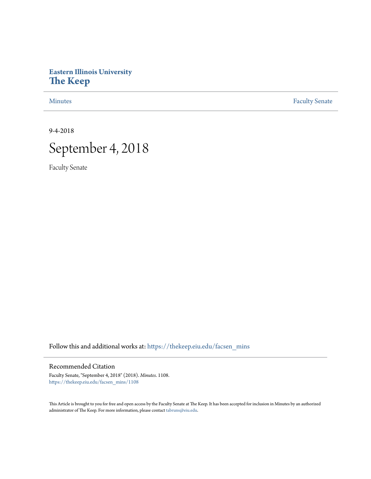# **Eastern Illinois University [The Keep](https://thekeep.eiu.edu?utm_source=thekeep.eiu.edu%2Ffacsen_mins%2F1108&utm_medium=PDF&utm_campaign=PDFCoverPages)**

[Minutes](https://thekeep.eiu.edu/facsen_mins?utm_source=thekeep.eiu.edu%2Ffacsen_mins%2F1108&utm_medium=PDF&utm_campaign=PDFCoverPages) **[Faculty Senate](https://thekeep.eiu.edu/fac_senate?utm_source=thekeep.eiu.edu%2Ffacsen_mins%2F1108&utm_medium=PDF&utm_campaign=PDFCoverPages)** 

9-4-2018



Faculty Senate

Follow this and additional works at: [https://thekeep.eiu.edu/facsen\\_mins](https://thekeep.eiu.edu/facsen_mins?utm_source=thekeep.eiu.edu%2Ffacsen_mins%2F1108&utm_medium=PDF&utm_campaign=PDFCoverPages)

#### Recommended Citation

Faculty Senate, "September 4, 2018" (2018). *Minutes*. 1108. [https://thekeep.eiu.edu/facsen\\_mins/1108](https://thekeep.eiu.edu/facsen_mins/1108?utm_source=thekeep.eiu.edu%2Ffacsen_mins%2F1108&utm_medium=PDF&utm_campaign=PDFCoverPages)

This Article is brought to you for free and open access by the Faculty Senate at The Keep. It has been accepted for inclusion in Minutes by an authorized administrator of The Keep. For more information, please contact [tabruns@eiu.edu.](mailto:tabruns@eiu.edu)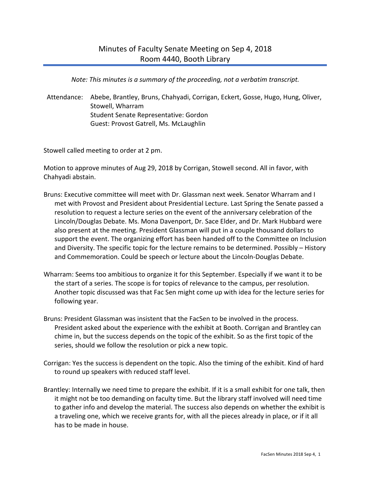*Note: This minutes is a summary of the proceeding, not a verbatim transcript.*

Attendance: Abebe, Brantley, Bruns, Chahyadi, Corrigan, Eckert, Gosse, Hugo, Hung, Oliver, Stowell, Wharram Student Senate Representative: Gordon Guest: Provost Gatrell, Ms. McLaughlin

Stowell called meeting to order at 2 pm.

Motion to approve minutes of Aug 29, 2018 by Corrigan, Stowell second. All in favor, with Chahyadi abstain.

- Bruns: Executive committee will meet with Dr. Glassman next week. Senator Wharram and I met with Provost and President about Presidential Lecture. Last Spring the Senate passed a resolution to request a lecture series on the event of the anniversary celebration of the Lincoln/Douglas Debate. Ms. Mona Davenport, Dr. Sace Elder, and Dr. Mark Hubbard were also present at the meeting. President Glassman will put in a couple thousand dollars to support the event. The organizing effort has been handed off to the Committee on Inclusion and Diversity. The specific topic for the lecture remains to be determined. Possibly – History and Commemoration. Could be speech or lecture about the Lincoln-Douglas Debate.
- Wharram: Seems too ambitious to organize it for this September. Especially if we want it to be the start of a series. The scope is for topics of relevance to the campus, per resolution. Another topic discussed was that Fac Sen might come up with idea for the lecture series for following year.
- Bruns: President Glassman was insistent that the FacSen to be involved in the process. President asked about the experience with the exhibit at Booth. Corrigan and Brantley can chime in, but the success depends on the topic of the exhibit. So as the first topic of the series, should we follow the resolution or pick a new topic.
- Corrigan: Yes the success is dependent on the topic. Also the timing of the exhibit. Kind of hard to round up speakers with reduced staff level.
- Brantley: Internally we need time to prepare the exhibit. If it is a small exhibit for one talk, then it might not be too demanding on faculty time. But the library staff involved will need time to gather info and develop the material. The success also depends on whether the exhibit is a traveling one, which we receive grants for, with all the pieces already in place, or if it all has to be made in house.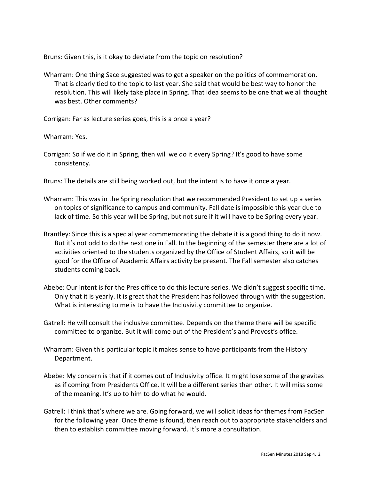Bruns: Given this, is it okay to deviate from the topic on resolution?

Wharram: One thing Sace suggested was to get a speaker on the politics of commemoration. That is clearly tied to the topic to last year. She said that would be best way to honor the resolution. This will likely take place in Spring. That idea seems to be one that we all thought was best. Other comments?

Corrigan: Far as lecture series goes, this is a once a year?

Wharram: Yes.

- Corrigan: So if we do it in Spring, then will we do it every Spring? It's good to have some consistency.
- Bruns: The details are still being worked out, but the intent is to have it once a year.
- Wharram: This was in the Spring resolution that we recommended President to set up a series on topics of significance to campus and community. Fall date is impossible this year due to lack of time. So this year will be Spring, but not sure if it will have to be Spring every year.
- Brantley: Since this is a special year commemorating the debate it is a good thing to do it now. But it's not odd to do the next one in Fall. In the beginning of the semester there are a lot of activities oriented to the students organized by the Office of Student Affairs, so it will be good for the Office of Academic Affairs activity be present. The Fall semester also catches students coming back.
- Abebe: Our intent is for the Pres office to do this lecture series. We didn't suggest specific time. Only that it is yearly. It is great that the President has followed through with the suggestion. What is interesting to me is to have the Inclusivity committee to organize.
- Gatrell: He will consult the inclusive committee. Depends on the theme there will be specific committee to organize. But it will come out of the President's and Provost's office.
- Wharram: Given this particular topic it makes sense to have participants from the History Department.
- Abebe: My concern is that if it comes out of Inclusivity office. It might lose some of the gravitas as if coming from Presidents Office. It will be a different series than other. It will miss some of the meaning. It's up to him to do what he would.
- Gatrell: I think that's where we are. Going forward, we will solicit ideas for themes from FacSen for the following year. Once theme is found, then reach out to appropriate stakeholders and then to establish committee moving forward. It's more a consultation.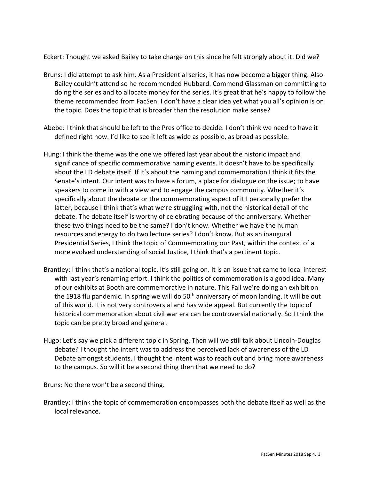Eckert: Thought we asked Bailey to take charge on this since he felt strongly about it. Did we?

- Bruns: I did attempt to ask him. As a Presidential series, it has now become a bigger thing. Also Bailey couldn't attend so he recommended Hubbard. Commend Glassman on committing to doing the series and to allocate money for the series. It's great that he's happy to follow the theme recommended from FacSen. I don't have a clear idea yet what you all's opinion is on the topic. Does the topic that is broader than the resolution make sense?
- Abebe: I think that should be left to the Pres office to decide. I don't think we need to have it defined right now. I'd like to see it left as wide as possible, as broad as possible.
- Hung: I think the theme was the one we offered last year about the historic impact and significance of specific commemorative naming events. It doesn't have to be specifically about the LD debate itself. If it's about the naming and commemoration I think it fits the Senate's intent. Our intent was to have a forum, a place for dialogue on the issue; to have speakers to come in with a view and to engage the campus community. Whether it's specifically about the debate or the commemorating aspect of it I personally prefer the latter, because I think that's what we're struggling with, not the historical detail of the debate. The debate itself is worthy of celebrating because of the anniversary. Whether these two things need to be the same? I don't know. Whether we have the human resources and energy to do two lecture series? I don't know. But as an inaugural Presidential Series, I think the topic of Commemorating our Past, within the context of a more evolved understanding of social Justice, I think that's a pertinent topic.
- Brantley: I think that's a national topic. It's still going on. It is an issue that came to local interest with last year's renaming effort. I think the politics of commemoration is a good idea. Many of our exhibits at Booth are commemorative in nature. This Fall we're doing an exhibit on the 1918 flu pandemic. In spring we will do 50<sup>th</sup> anniversary of moon landing. It will be out of this world. It is not very controversial and has wide appeal. But currently the topic of historical commemoration about civil war era can be controversial nationally. So I think the topic can be pretty broad and general.
- Hugo: Let's say we pick a different topic in Spring. Then will we still talk about Lincoln-Douglas debate? I thought the intent was to address the perceived lack of awareness of the LD Debate amongst students. I thought the intent was to reach out and bring more awareness to the campus. So will it be a second thing then that we need to do?

Bruns: No there won't be a second thing.

Brantley: I think the topic of commemoration encompasses both the debate itself as well as the local relevance.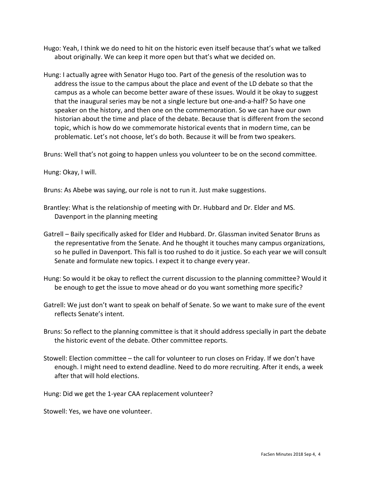- Hugo: Yeah, I think we do need to hit on the historic even itself because that's what we talked about originally. We can keep it more open but that's what we decided on.
- Hung: I actually agree with Senator Hugo too. Part of the genesis of the resolution was to address the issue to the campus about the place and event of the LD debate so that the campus as a whole can become better aware of these issues. Would it be okay to suggest that the inaugural series may be not a single lecture but one-and-a-half? So have one speaker on the history, and then one on the commemoration. So we can have our own historian about the time and place of the debate. Because that is different from the second topic, which is how do we commemorate historical events that in modern time, can be problematic. Let's not choose, let's do both. Because it will be from two speakers.

Bruns: Well that's not going to happen unless you volunteer to be on the second committee.

Hung: Okay, I will.

Bruns: As Abebe was saying, our role is not to run it. Just make suggestions.

- Brantley: What is the relationship of meeting with Dr. Hubbard and Dr. Elder and MS. Davenport in the planning meeting
- Gatrell Baily specifically asked for Elder and Hubbard. Dr. Glassman invited Senator Bruns as the representative from the Senate. And he thought it touches many campus organizations, so he pulled in Davenport. This fall is too rushed to do it justice. So each year we will consult Senate and formulate new topics. I expect it to change every year.
- Hung: So would it be okay to reflect the current discussion to the planning committee? Would it be enough to get the issue to move ahead or do you want something more specific?
- Gatrell: We just don't want to speak on behalf of Senate. So we want to make sure of the event reflects Senate's intent.
- Bruns: So reflect to the planning committee is that it should address specially in part the debate the historic event of the debate. Other committee reports.
- Stowell: Election committee the call for volunteer to run closes on Friday. If we don't have enough. I might need to extend deadline. Need to do more recruiting. After it ends, a week after that will hold elections.

Hung: Did we get the 1-year CAA replacement volunteer?

Stowell: Yes, we have one volunteer.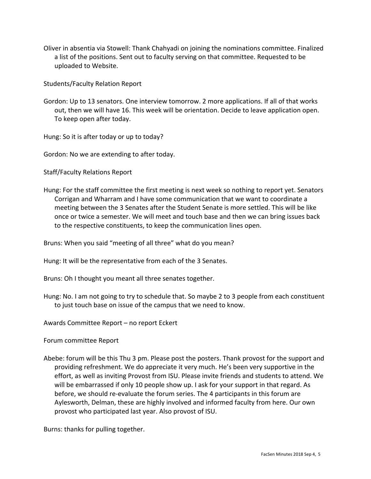Oliver in absentia via Stowell: Thank Chahyadi on joining the nominations committee. Finalized a list of the positions. Sent out to faculty serving on that committee. Requested to be uploaded to Website.

Students/Faculty Relation Report

Gordon: Up to 13 senators. One interview tomorrow. 2 more applications. If all of that works out, then we will have 16. This week will be orientation. Decide to leave application open. To keep open after today.

Hung: So it is after today or up to today?

Gordon: No we are extending to after today.

Staff/Faculty Relations Report

Hung: For the staff committee the first meeting is next week so nothing to report yet. Senators Corrigan and Wharram and I have some communication that we want to coordinate a meeting between the 3 Senates after the Student Senate is more settled. This will be like once or twice a semester. We will meet and touch base and then we can bring issues back to the respective constituents, to keep the communication lines open.

Bruns: When you said "meeting of all three" what do you mean?

Hung: It will be the representative from each of the 3 Senates.

Bruns: Oh I thought you meant all three senates together.

Hung: No. I am not going to try to schedule that. So maybe 2 to 3 people from each constituent to just touch base on issue of the campus that we need to know.

Awards Committee Report – no report Eckert

Forum committee Report

Abebe: forum will be this Thu 3 pm. Please post the posters. Thank provost for the support and providing refreshment. We do appreciate it very much. He's been very supportive in the effort, as well as inviting Provost from ISU. Please invite friends and students to attend. We will be embarrassed if only 10 people show up. I ask for your support in that regard. As before, we should re-evaluate the forum series. The 4 participants in this forum are Aylesworth, Delman, these are highly involved and informed faculty from here. Our own provost who participated last year. Also provost of ISU.

Burns: thanks for pulling together.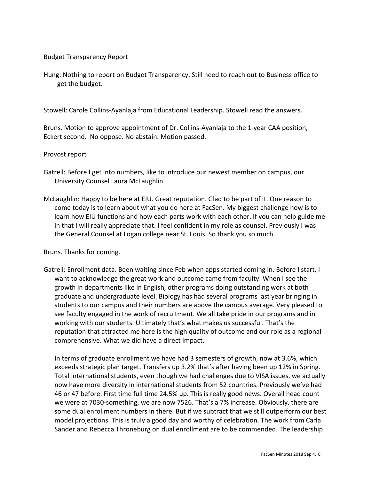## Budget Transparency Report

Hung: Nothing to report on Budget Transparency. Still need to reach out to Business office to get the budget.

Stowell: Carole Collins-Ayanlaja from Educational Leadership. Stowell read the answers.

Bruns. Motion to approve appointment of Dr. Collins-Ayanlaja to the 1-year CAA position, Eckert second. No oppose. No abstain. Motion passed.

#### Provost report

- Gatrell: Before I get into numbers, like to introduce our newest member on campus, our University Counsel Laura McLaughlin.
- McLaughlin: Happy to be here at EIU. Great reputation. Glad to be part of it. One reason to come today is to learn about what you do here at FacSen. My biggest challenge now is to learn how EIU functions and how each parts work with each other. If you can help guide me in that I will really appreciate that. I feel confident in my role as counsel. Previously I was the General Counsel at Logan college near St. Louis. So thank you so much.

Bruns. Thanks for coming.

Gatrell: Enrollment data. Been waiting since Feb when apps started coming in. Before I start, I want to acknowledge the great work and outcome came from faculty. When I see the growth in departments like in English, other programs doing outstanding work at both graduate and undergraduate level. Biology has had several programs last year bringing in students to our campus and their numbers are above the campus average. Very pleased to see faculty engaged in the work of recruitment. We all take pride in our programs and in working with our students. Ultimately that's what makes us successful. That's the reputation that attracted me here is the high quality of outcome and our role as a regional comprehensive. What we did have a direct impact.

In terms of graduate enrollment we have had 3 semesters of growth, now at 3.6%, which exceeds strategic plan target. Transfers up 3.2% that's after having been up 12% in Spring. Total international students, even though we had challenges due to VISA issues, we actually now have more diversity in international students from 52 countries. Previously we've had 46 or 47 before. First time full time 24.5% up. This is really good news. Overall head count we were at 7030-something, we are now 7526. That's a 7% increase. Obviously, there are some dual enrollment numbers in there. But if we subtract that we still outperform our best model projections. This is truly a good day and worthy of celebration. The work from Carla Sander and Rebecca Throneburg on dual enrollment are to be commended. The leadership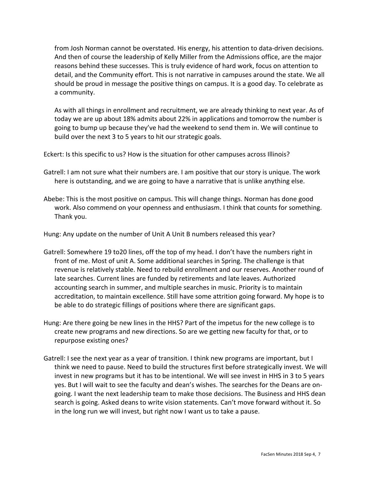from Josh Norman cannot be overstated. His energy, his attention to data-driven decisions. And then of course the leadership of Kelly Miller from the Admissions office, are the major reasons behind these successes. This is truly evidence of hard work, focus on attention to detail, and the Community effort. This is not narrative in campuses around the state. We all should be proud in message the positive things on campus. It is a good day. To celebrate as a community.

As with all things in enrollment and recruitment, we are already thinking to next year. As of today we are up about 18% admits about 22% in applications and tomorrow the number is going to bump up because they've had the weekend to send them in. We will continue to build over the next 3 to 5 years to hit our strategic goals.

Eckert: Is this specific to us? How is the situation for other campuses across Illinois?

- Gatrell: I am not sure what their numbers are. I am positive that our story is unique. The work here is outstanding, and we are going to have a narrative that is unlike anything else.
- Abebe: This is the most positive on campus. This will change things. Norman has done good work. Also commend on your openness and enthusiasm. I think that counts for something. Thank you.

Hung: Any update on the number of Unit A Unit B numbers released this year?

- Gatrell: Somewhere 19 to20 lines, off the top of my head. I don't have the numbers right in front of me. Most of unit A. Some additional searches in Spring. The challenge is that revenue is relatively stable. Need to rebuild enrollment and our reserves. Another round of late searches. Current lines are funded by retirements and late leaves. Authorized accounting search in summer, and multiple searches in music. Priority is to maintain accreditation, to maintain excellence. Still have some attrition going forward. My hope is to be able to do strategic fillings of positions where there are significant gaps.
- Hung: Are there going be new lines in the HHS? Part of the impetus for the new college is to create new programs and new directions. So are we getting new faculty for that, or to repurpose existing ones?
- Gatrell: I see the next year as a year of transition. I think new programs are important, but I think we need to pause. Need to build the structures first before strategically invest. We will invest in new programs but it has to be intentional. We will see invest in HHS in 3 to 5 years yes. But I will wait to see the faculty and dean's wishes. The searches for the Deans are ongoing. I want the next leadership team to make those decisions. The Business and HHS dean search is going. Asked deans to write vision statements. Can't move forward without it. So in the long run we will invest, but right now I want us to take a pause.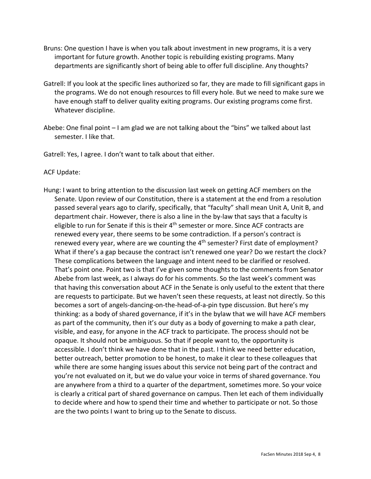- Bruns: One question I have is when you talk about investment in new programs, it is a very important for future growth. Another topic is rebuilding existing programs. Many departments are significantly short of being able to offer full discipline. Any thoughts?
- Gatrell: If you look at the specific lines authorized so far, they are made to fill significant gaps in the programs. We do not enough resources to fill every hole. But we need to make sure we have enough staff to deliver quality exiting programs. Our existing programs come first. Whatever discipline.
- Abebe: One final point I am glad we are not talking about the "bins" we talked about last semester. I like that.
- Gatrell: Yes, I agree. I don't want to talk about that either.

# ACF Update:

Hung: I want to bring attention to the discussion last week on getting ACF members on the Senate. Upon review of our Constitution, there is a statement at the end from a resolution passed several years ago to clarify, specifically, that "faculty" shall mean Unit A, Unit B, and department chair. However, there is also a line in the by-law that says that a faculty is eligible to run for Senate if this is their  $4<sup>th</sup>$  semester or more. Since ACF contracts are renewed every year, there seems to be some contradiction. If a person's contract is renewed every year, where are we counting the  $4<sup>th</sup>$  semester? First date of employment? What if there's a gap because the contract isn't renewed one year? Do we restart the clock? These complications between the language and intent need to be clarified or resolved. That's point one. Point two is that I've given some thoughts to the comments from Senator Abebe from last week, as I always do for his comments. So the last week's comment was that having this conversation about ACF in the Senate is only useful to the extent that there are requests to participate. But we haven't seen these requests, at least not directly. So this becomes a sort of angels-dancing-on-the-head-of-a-pin type discussion. But here's my thinking: as a body of shared governance, if it's in the bylaw that we will have ACF members as part of the community, then it's our duty as a body of governing to make a path clear, visible, and easy, for anyone in the ACF track to participate. The process should not be opaque. It should not be ambiguous. So that if people want to, the opportunity is accessible. I don't think we have done that in the past. I think we need better education, better outreach, better promotion to be honest, to make it clear to these colleagues that while there are some hanging issues about this service not being part of the contract and you're not evaluated on it, but we do value your voice in terms of shared governance. You are anywhere from a third to a quarter of the department, sometimes more. So your voice is clearly a critical part of shared governance on campus. Then let each of them individually to decide where and how to spend their time and whether to participate or not. So those are the two points I want to bring up to the Senate to discuss.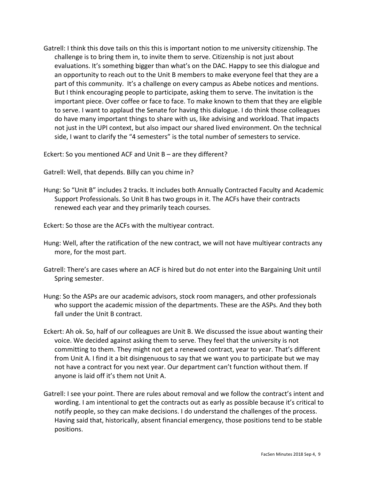Gatrell: I think this dove tails on this this is important notion to me university citizenship. The challenge is to bring them in, to invite them to serve. Citizenship is not just about evaluations. It's something bigger than what's on the DAC. Happy to see this dialogue and an opportunity to reach out to the Unit B members to make everyone feel that they are a part of this community. It's a challenge on every campus as Abebe notices and mentions. But I think encouraging people to participate, asking them to serve. The invitation is the important piece. Over coffee or face to face. To make known to them that they are eligible to serve. I want to applaud the Senate for having this dialogue. I do think those colleagues do have many important things to share with us, like advising and workload. That impacts not just in the UPI context, but also impact our shared lived environment. On the technical side, I want to clarify the "4 semesters" is the total number of semesters to service.

Eckert: So you mentioned ACF and Unit B – are they different?

Gatrell: Well, that depends. Billy can you chime in?

Hung: So "Unit B" includes 2 tracks. It includes both Annually Contracted Faculty and Academic Support Professionals. So Unit B has two groups in it. The ACFs have their contracts renewed each year and they primarily teach courses.

Eckert: So those are the ACFs with the multiyear contract.

- Hung: Well, after the ratification of the new contract, we will not have multiyear contracts any more, for the most part.
- Gatrell: There's are cases where an ACF is hired but do not enter into the Bargaining Unit until Spring semester.
- Hung: So the ASPs are our academic advisors, stock room managers, and other professionals who support the academic mission of the departments. These are the ASPs. And they both fall under the Unit B contract.
- Eckert: Ah ok. So, half of our colleagues are Unit B. We discussed the issue about wanting their voice. We decided against asking them to serve. They feel that the university is not committing to them. They might not get a renewed contract, year to year. That's different from Unit A. I find it a bit disingenuous to say that we want you to participate but we may not have a contract for you next year. Our department can't function without them. If anyone is laid off it's them not Unit A.
- Gatrell: I see your point. There are rules about removal and we follow the contract's intent and wording. I am intentional to get the contracts out as early as possible because it's critical to notify people, so they can make decisions. I do understand the challenges of the process. Having said that, historically, absent financial emergency, those positions tend to be stable positions.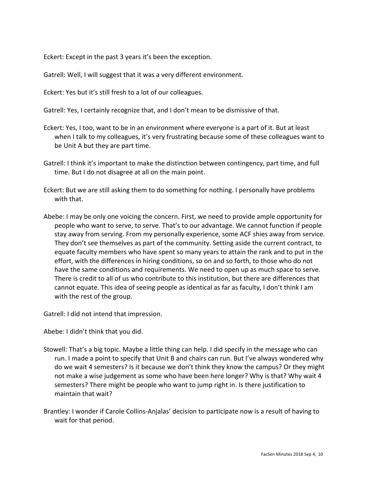Eckert: Except in the past 3 years it's been the exception.

Gatrell: Well, I will suggest that it was a very different environment.

Eckert: Yes but it's still fresh to a lot of our colleagues.

Gatrell: Yes, I certainly recognize that, and I don't mean to be dismissive of that.

- Eckert: Yes, I too, want to be in an environment where everyone is a part of it. But at least when I talk to my colleagues, it's very frustrating because some of these colleagues want to be Unit A but they are part time.
- Gatrell: I think it's important to make the distinction between contingency, part time, and full time. But I do not disagree at all on the main point.
- Eckert: But we are still asking them to do something for nothing. I personally have problems with that.
- Abebe: I may be only one voicing the concern. First, we need to provide ample opportunity for people who want to serve, to serve. That's to our advantage. We cannot function if people stay away from serving. From my personally experience, some ACF shies away from service. They don't see themselves as part of the community. Setting aside the current contract, to equate faculty members who have spent so many years to attain the rank and to put in the effort, with the differences in hiring conditions, so on and so forth, to those who do not have the same conditions and requirements. We need to open up as much space to serve. There is credit to all of us who contribute to this institution, but there are differences that cannot equate. This idea of seeing people as identical as far as faculty, I don't think I am with the rest of the group.

Gatrell: I did not intend that impression.

Abebe: I didn't think that you did.

- Stowell: That's a big topic. Maybe a little thing can help. I did specify in the message who can run. I made a point to specify that Unit B and chairs can run. But I've always wondered why do we wait 4 semesters? Is it because we don't think they know the campus? Or they might not make a wise judgement as some who have been here longer? Why is that? Why wait 4 semesters? There might be people who want to jump right in. Is there justification to maintain that wait?
- Brantley: I wonder if Carole Collins-Anjalas' decision to participate now is a result of having to wait for that period.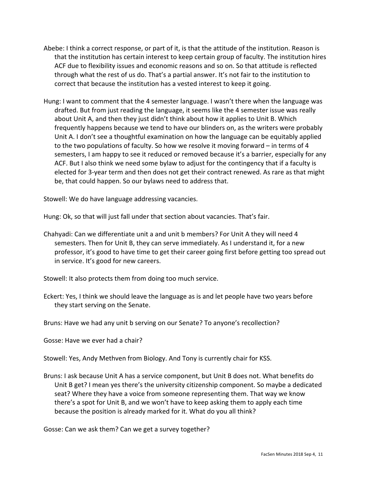- Abebe: I think a correct response, or part of it, is that the attitude of the institution. Reason is that the institution has certain interest to keep certain group of faculty. The institution hires ACF due to flexibility issues and economic reasons and so on. So that attitude is reflected through what the rest of us do. That's a partial answer. It's not fair to the institution to correct that because the institution has a vested interest to keep it going.
- Hung: I want to comment that the 4 semester language. I wasn't there when the language was drafted. But from just reading the language, it seems like the 4 semester issue was really about Unit A, and then they just didn't think about how it applies to Unit B. Which frequently happens because we tend to have our blinders on, as the writers were probably Unit A. I don't see a thoughtful examination on how the language can be equitably applied to the two populations of faculty. So how we resolve it moving forward – in terms of 4 semesters, I am happy to see it reduced or removed because it's a barrier, especially for any ACF. But I also think we need some bylaw to adjust for the contingency that if a faculty is elected for 3-year term and then does not get their contract renewed. As rare as that might be, that could happen. So our bylaws need to address that.

Stowell: We do have language addressing vacancies.

Hung: Ok, so that will just fall under that section about vacancies. That's fair.

Chahyadi: Can we differentiate unit a and unit b members? For Unit A they will need 4 semesters. Then for Unit B, they can serve immediately. As I understand it, for a new professor, it's good to have time to get their career going first before getting too spread out in service. It's good for new careers.

Stowell: It also protects them from doing too much service.

Eckert: Yes, I think we should leave the language as is and let people have two years before they start serving on the Senate.

Bruns: Have we had any unit b serving on our Senate? To anyone's recollection?

Gosse: Have we ever had a chair?

Stowell: Yes, Andy Methven from Biology. And Tony is currently chair for KSS.

Bruns: I ask because Unit A has a service component, but Unit B does not. What benefits do Unit B get? I mean yes there's the university citizenship component. So maybe a dedicated seat? Where they have a voice from someone representing them. That way we know there's a spot for Unit B, and we won't have to keep asking them to apply each time because the position is already marked for it. What do you all think?

Gosse: Can we ask them? Can we get a survey together?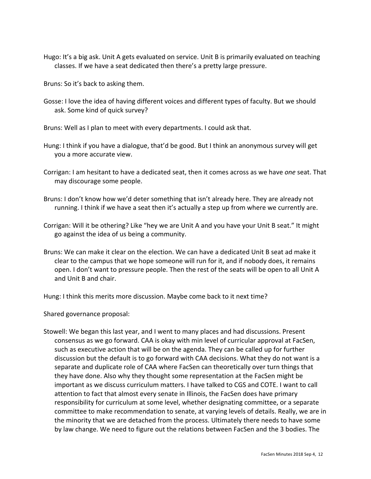Hugo: It's a big ask. Unit A gets evaluated on service. Unit B is primarily evaluated on teaching classes. If we have a seat dedicated then there's a pretty large pressure.

Bruns: So it's back to asking them.

Gosse: I love the idea of having different voices and different types of faculty. But we should ask. Some kind of quick survey?

Bruns: Well as I plan to meet with every departments. I could ask that.

- Hung: I think if you have a dialogue, that'd be good. But I think an anonymous survey will get you a more accurate view.
- Corrigan: I am hesitant to have a dedicated seat, then it comes across as we have *one* seat. That may discourage some people.
- Bruns: I don't know how we'd deter something that isn't already here. They are already not running. I think if we have a seat then it's actually a step up from where we currently are.
- Corrigan: Will it be othering? Like "hey we are Unit A and you have your Unit B seat." It might go against the idea of us being a community.
- Bruns: We can make it clear on the election. We can have a dedicated Unit B seat ad make it clear to the campus that we hope someone will run for it, and if nobody does, it remains open. I don't want to pressure people. Then the rest of the seats will be open to all Unit A and Unit B and chair.

Hung: I think this merits more discussion. Maybe come back to it next time?

Shared governance proposal:

Stowell: We began this last year, and I went to many places and had discussions. Present consensus as we go forward. CAA is okay with min level of curricular approval at FacSen, such as executive action that will be on the agenda. They can be called up for further discussion but the default is to go forward with CAA decisions. What they do not want is a separate and duplicate role of CAA where FacSen can theoretically over turn things that they have done. Also why they thought some representation at the FacSen might be important as we discuss curriculum matters. I have talked to CGS and COTE. I want to call attention to fact that almost every senate in Illinois, the FacSen does have primary responsibility for curriculum at some level, whether designating committee, or a separate committee to make recommendation to senate, at varying levels of details. Really, we are in the minority that we are detached from the process. Ultimately there needs to have some by law change. We need to figure out the relations between FacSen and the 3 bodies. The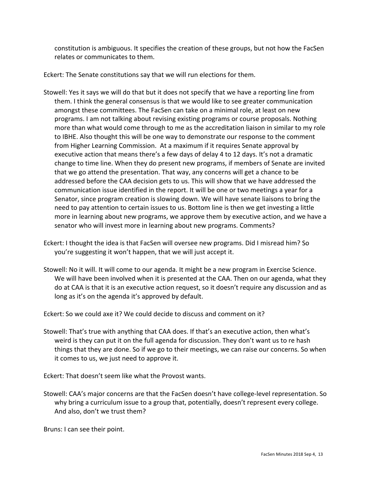constitution is ambiguous. It specifies the creation of these groups, but not how the FacSen relates or communicates to them.

Eckert: The Senate constitutions say that we will run elections for them.

- Stowell: Yes it says we will do that but it does not specify that we have a reporting line from them. I think the general consensus is that we would like to see greater communication amongst these committees. The FacSen can take on a minimal role, at least on new programs. I am not talking about revising existing programs or course proposals. Nothing more than what would come through to me as the accreditation liaison in similar to my role to IBHE. Also thought this will be one way to demonstrate our response to the comment from Higher Learning Commission. At a maximum if it requires Senate approval by executive action that means there's a few days of delay 4 to 12 days. It's not a dramatic change to time line. When they do present new programs, if members of Senate are invited that we go attend the presentation. That way, any concerns will get a chance to be addressed before the CAA decision gets to us. This will show that we have addressed the communication issue identified in the report. It will be one or two meetings a year for a Senator, since program creation is slowing down. We will have senate liaisons to bring the need to pay attention to certain issues to us. Bottom line is then we get investing a little more in learning about new programs, we approve them by executive action, and we have a senator who will invest more in learning about new programs. Comments?
- Eckert: I thought the idea is that FacSen will oversee new programs. Did I misread him? So you're suggesting it won't happen, that we will just accept it.
- Stowell: No it will. It will come to our agenda. It might be a new program in Exercise Science. We will have been involved when it is presented at the CAA. Then on our agenda, what they do at CAA is that it is an executive action request, so it doesn't require any discussion and as long as it's on the agenda it's approved by default.

Eckert: So we could axe it? We could decide to discuss and comment on it?

Stowell: That's true with anything that CAA does. If that's an executive action, then what's weird is they can put it on the full agenda for discussion. They don't want us to re hash things that they are done. So if we go to their meetings, we can raise our concerns. So when it comes to us, we just need to approve it.

Eckert: That doesn't seem like what the Provost wants.

Stowell: CAA's major concerns are that the FacSen doesn't have college-level representation. So why bring a curriculum issue to a group that, potentially, doesn't represent every college. And also, don't we trust them?

Bruns: I can see their point.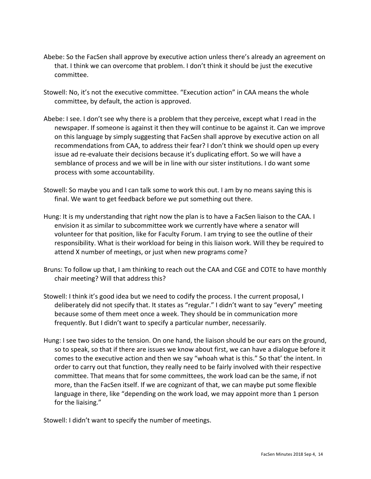- Abebe: So the FacSen shall approve by executive action unless there's already an agreement on that. I think we can overcome that problem. I don't think it should be just the executive committee.
- Stowell: No, it's not the executive committee. "Execution action" in CAA means the whole committee, by default, the action is approved.
- Abebe: I see. I don't see why there is a problem that they perceive, except what I read in the newspaper. If someone is against it then they will continue to be against it. Can we improve on this language by simply suggesting that FacSen shall approve by executive action on all recommendations from CAA, to address their fear? I don't think we should open up every issue ad re-evaluate their decisions because it's duplicating effort. So we will have a semblance of process and we will be in line with our sister institutions. I do want some process with some accountability.
- Stowell: So maybe you and I can talk some to work this out. I am by no means saying this is final. We want to get feedback before we put something out there.
- Hung: It is my understanding that right now the plan is to have a FacSen liaison to the CAA. I envision it as similar to subcommittee work we currently have where a senator will volunteer for that position, like for Faculty Forum. I am trying to see the outline of their responsibility. What is their workload for being in this liaison work. Will they be required to attend X number of meetings, or just when new programs come?
- Bruns: To follow up that, I am thinking to reach out the CAA and CGE and COTE to have monthly chair meeting? Will that address this?
- Stowell: I think it's good idea but we need to codify the process. I the current proposal, I deliberately did not specify that. It states as "regular." I didn't want to say "every" meeting because some of them meet once a week. They should be in communication more frequently. But I didn't want to specify a particular number, necessarily.
- Hung: I see two sides to the tension. On one hand, the liaison should be our ears on the ground, so to speak, so that if there are issues we know about first, we can have a dialogue before it comes to the executive action and then we say "whoah what is this." So that' the intent. In order to carry out that function, they really need to be fairly involved with their respective committee. That means that for some committees, the work load can be the same, if not more, than the FacSen itself. If we are cognizant of that, we can maybe put some flexible language in there, like "depending on the work load, we may appoint more than 1 person for the liaising."

Stowell: I didn't want to specify the number of meetings.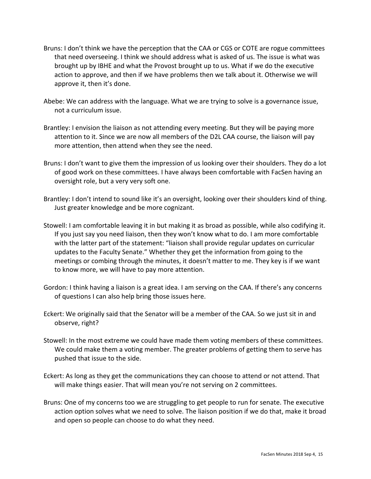- Bruns: I don't think we have the perception that the CAA or CGS or COTE are rogue committees that need overseeing. I think we should address what is asked of us. The issue is what was brought up by IBHE and what the Provost brought up to us. What if we do the executive action to approve, and then if we have problems then we talk about it. Otherwise we will approve it, then it's done.
- Abebe: We can address with the language. What we are trying to solve is a governance issue, not a curriculum issue.
- Brantley: I envision the liaison as not attending every meeting. But they will be paying more attention to it. Since we are now all members of the D2L CAA course, the liaison will pay more attention, then attend when they see the need.
- Bruns: I don't want to give them the impression of us looking over their shoulders. They do a lot of good work on these committees. I have always been comfortable with FacSen having an oversight role, but a very very soft one.
- Brantley: I don't intend to sound like it's an oversight, looking over their shoulders kind of thing. Just greater knowledge and be more cognizant.
- Stowell: I am comfortable leaving it in but making it as broad as possible, while also codifying it. If you just say you need liaison, then they won't know what to do. I am more comfortable with the latter part of the statement: "liaison shall provide regular updates on curricular updates to the Faculty Senate." Whether they get the information from going to the meetings or combing through the minutes, it doesn't matter to me. They key is if we want to know more, we will have to pay more attention.
- Gordon: I think having a liaison is a great idea. I am serving on the CAA. If there's any concerns of questions I can also help bring those issues here.
- Eckert: We originally said that the Senator will be a member of the CAA. So we just sit in and observe, right?
- Stowell: In the most extreme we could have made them voting members of these committees. We could make them a voting member. The greater problems of getting them to serve has pushed that issue to the side.
- Eckert: As long as they get the communications they can choose to attend or not attend. That will make things easier. That will mean you're not serving on 2 committees.
- Bruns: One of my concerns too we are struggling to get people to run for senate. The executive action option solves what we need to solve. The liaison position if we do that, make it broad and open so people can choose to do what they need.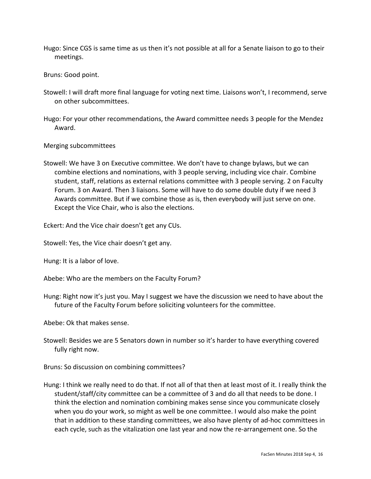Hugo: Since CGS is same time as us then it's not possible at all for a Senate liaison to go to their meetings.

Bruns: Good point.

- Stowell: I will draft more final language for voting next time. Liaisons won't, I recommend, serve on other subcommittees.
- Hugo: For your other recommendations, the Award committee needs 3 people for the Mendez Award.

## Merging subcommittees

Stowell: We have 3 on Executive committee. We don't have to change bylaws, but we can combine elections and nominations, with 3 people serving, including vice chair. Combine student, staff, relations as external relations committee with 3 people serving. 2 on Faculty Forum. 3 on Award. Then 3 liaisons. Some will have to do some double duty if we need 3 Awards committee. But if we combine those as is, then everybody will just serve on one. Except the Vice Chair, who is also the elections.

Eckert: And the Vice chair doesn't get any CUs.

Stowell: Yes, the Vice chair doesn't get any.

Hung: It is a labor of love.

Abebe: Who are the members on the Faculty Forum?

Hung: Right now it's just you. May I suggest we have the discussion we need to have about the future of the Faculty Forum before soliciting volunteers for the committee.

Abebe: Ok that makes sense.

Stowell: Besides we are 5 Senators down in number so it's harder to have everything covered fully right now.

Bruns: So discussion on combining committees?

Hung: I think we really need to do that. If not all of that then at least most of it. I really think the student/staff/city committee can be a committee of 3 and do all that needs to be done. I think the election and nomination combining makes sense since you communicate closely when you do your work, so might as well be one committee. I would also make the point that in addition to these standing committees, we also have plenty of ad-hoc committees in each cycle, such as the vitalization one last year and now the re-arrangement one. So the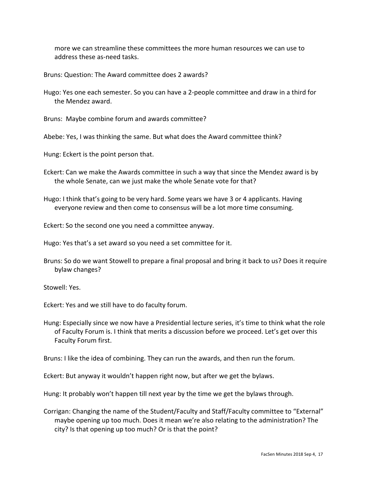more we can streamline these committees the more human resources we can use to address these as-need tasks.

Bruns: Question: The Award committee does 2 awards?

Hugo: Yes one each semester. So you can have a 2-people committee and draw in a third for the Mendez award.

Bruns: Maybe combine forum and awards committee?

Abebe: Yes, I was thinking the same. But what does the Award committee think?

Hung: Eckert is the point person that.

- Eckert: Can we make the Awards committee in such a way that since the Mendez award is by the whole Senate, can we just make the whole Senate vote for that?
- Hugo: I think that's going to be very hard. Some years we have 3 or 4 applicants. Having everyone review and then come to consensus will be a lot more time consuming.

Eckert: So the second one you need a committee anyway.

Hugo: Yes that's a set award so you need a set committee for it.

Bruns: So do we want Stowell to prepare a final proposal and bring it back to us? Does it require bylaw changes?

Stowell: Yes.

Eckert: Yes and we still have to do faculty forum.

Hung: Especially since we now have a Presidential lecture series, it's time to think what the role of Faculty Forum is. I think that merits a discussion before we proceed. Let's get over this Faculty Forum first.

Bruns: I like the idea of combining. They can run the awards, and then run the forum.

Eckert: But anyway it wouldn't happen right now, but after we get the bylaws.

Hung: It probably won't happen till next year by the time we get the bylaws through.

Corrigan: Changing the name of the Student/Faculty and Staff/Faculty committee to "External" maybe opening up too much. Does it mean we're also relating to the administration? The city? Is that opening up too much? Or is that the point?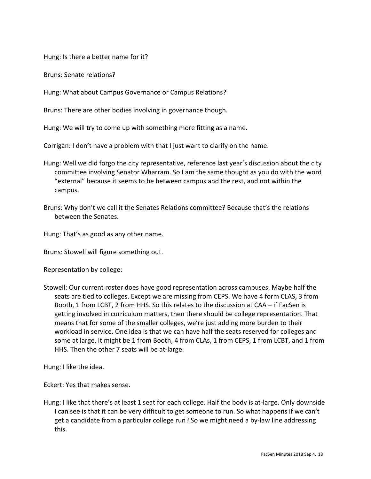Hung: Is there a better name for it?

Bruns: Senate relations?

Hung: What about Campus Governance or Campus Relations?

Bruns: There are other bodies involving in governance though.

Hung: We will try to come up with something more fitting as a name.

Corrigan: I don't have a problem with that I just want to clarify on the name.

- Hung: Well we did forgo the city representative, reference last year's discussion about the city committee involving Senator Wharram. So I am the same thought as you do with the word "external" because it seems to be between campus and the rest, and not within the campus.
- Bruns: Why don't we call it the Senates Relations committee? Because that's the relations between the Senates.

Hung: That's as good as any other name.

Bruns: Stowell will figure something out.

Representation by college:

Stowell: Our current roster does have good representation across campuses. Maybe half the seats are tied to colleges. Except we are missing from CEPS. We have 4 form CLAS, 3 from Booth, 1 from LCBT, 2 from HHS. So this relates to the discussion at CAA – if FacSen is getting involved in curriculum matters, then there should be college representation. That means that for some of the smaller colleges, we're just adding more burden to their workload in service. One idea is that we can have half the seats reserved for colleges and some at large. It might be 1 from Booth, 4 from CLAs, 1 from CEPS, 1 from LCBT, and 1 from HHS. Then the other 7 seats will be at-large.

Hung: I like the idea.

Eckert: Yes that makes sense.

Hung: I like that there's at least 1 seat for each college. Half the body is at-large. Only downside I can see is that it can be very difficult to get someone to run. So what happens if we can't get a candidate from a particular college run? So we might need a by-law line addressing this.